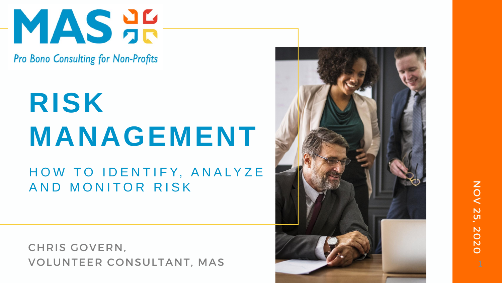

**Pro Bono Consulting for Non-Profits** 

## **RISK MANAGEMENT** HOW TO IDENTIFY, ANALYZE AND MONITOR RISK

CHRIS GOVERN, VOLUNTEER CONSULTANT, MAS



### NON NOV 25, 2020 **N** 2020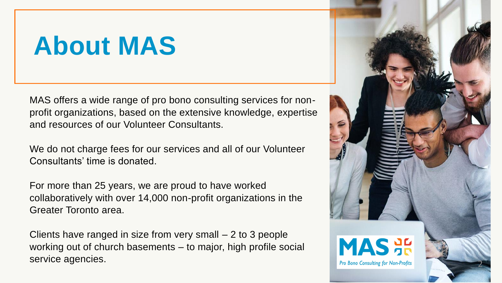MAS offers a wide range of pro bono consulting services for nonprofit organizations, based on the extensive knowledge, expertise and resources of our Volunteer Consultants.

We do not charge fees for our services and all of our Volunteer Consultants' time is donated.

For more than 25 years, we are proud to have worked collaboratively with over 14,000 non-profit organizations in the Greater Toronto area.

Clients have ranged in size from very small – 2 to 3 people working out of church basements – to major, high profile social service agencies.



## **About MAS**

2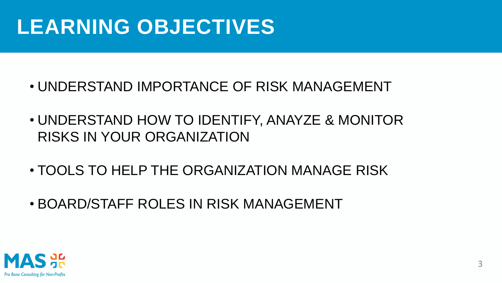## **LEARNING OBJECTIVES**

- UNDERSTAND IMPORTANCE OF RISK MANAGEMENT
- UNDERSTAND HOW TO IDENTIFY, ANAYZE & MONITOR RISKS IN YOUR ORGANIZATION
- TOOLS TO HELP THE ORGANIZATION MANAGE RISK
- BOARD/STAFF ROLES IN RISK MANAGEMENT

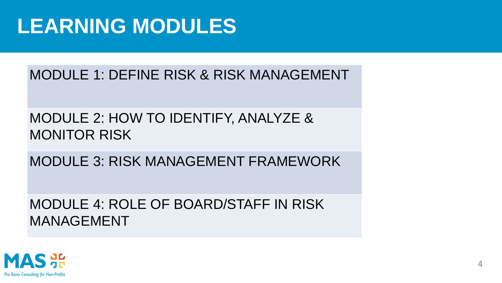### **LEARNING MODULES**

### MODULE 1: DEFINE RISK & RISK MANAGEMENT

### MODULE 2: HOW TO IDENTIFY, ANALYZE & MONITOR RISK

MODULE 3: RISK MANAGEMENT FRAMEWORK

### MODULE 4: ROLE OF BOARD/STAFF IN RISK MANAGEMENT



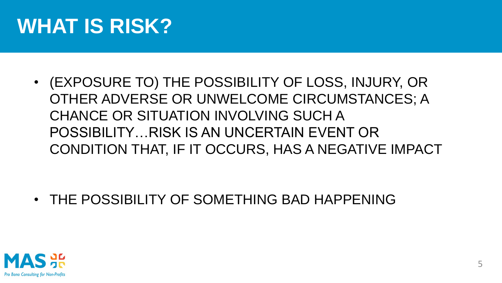### **WHAT IS RISK?**

• (EXPOSURE TO) THE POSSIBILITY OF LOSS, INJURY, OR OTHER ADVERSE OR UNWELCOME CIRCUMSTANCES; A CHANCE OR SITUATION INVOLVING SUCH A POSSIBILITY…RISK IS AN UNCERTAIN EVENT OR CONDITION THAT, IF IT OCCURS, HAS A NEGATIVE IMPACT

• THE POSSIBILITY OF SOMETHING BAD HAPPENING

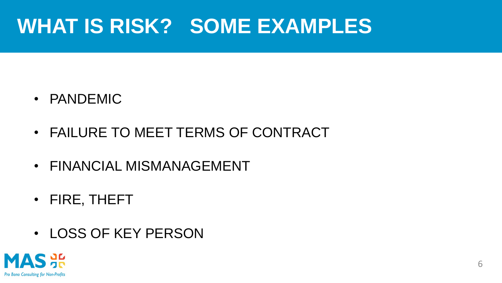### **WHAT IS RISK? SOME EXAMPLES**

- PANDEMIC
- FAILURE TO MEET TERMS OF CONTRACT
- FINANCIAL MISMANAGEMENT
- FIRE, THEFT
- LOSS OF KEY PERSON





6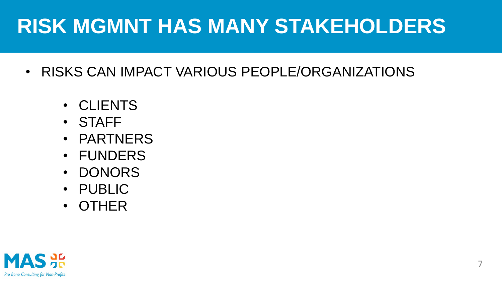### **RISK MGMNT HAS MANY STAKEHOLDERS**

- RISKS CAN IMPACT VARIOUS PEOPLE/ORGANIZATIONS
	- CLIENTS
	- STAFF
	- PARTNERS
	- FUNDERS
	- DONORS
	- PUBLIC
	- OTHER

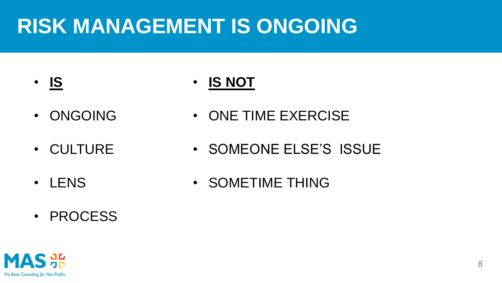### **RISK MANAGEMENT IS ONGOING**

- **IS**
- ONGOING
- CULTURE
- LENS
- PROCESS
- **IS NOT**
- ONE TIME EXERCISE
- SOMEONE ELSE'S ISSUE
- SOMETIME THING



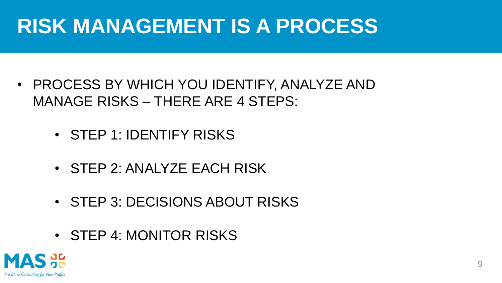## **RISK MANAGEMENT IS A PROCESS**

- PROCESS BY WHICH YOU IDENTIFY, ANALYZE AND MANAGE RISKS – THERE ARE 4 STEPS:
	- STEP 1: IDENTIFY RISKS
	- STEP 2: ANALYZE EACH RISK
	- STEP 3: DECISIONS ABOUT RISKS
	- STEP 4: MONITOR RISKS



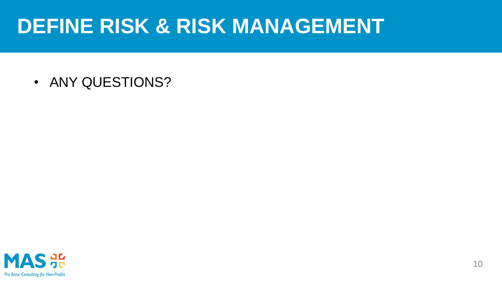### **DEFINE RISK & RISK MANAGEMENT**

• ANY QUESTIONS?



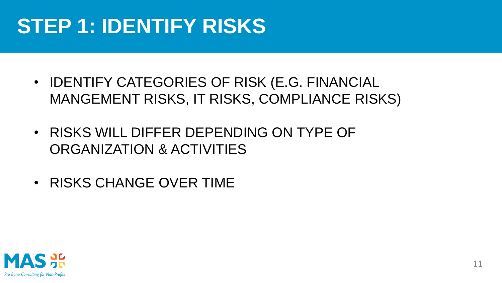### **STEP 1: IDENTIFY RISKS**

- IDENTIFY CATEGORIES OF RISK (E.G. FINANCIAL MANGEMENT RISKS, IT RISKS, COMPLIANCE RISKS)
- RISKS WILL DIFFER DEPENDING ON TYPE OF ORGANIZATION & ACTIVITIES
- RISKS CHANGE OVER TIME

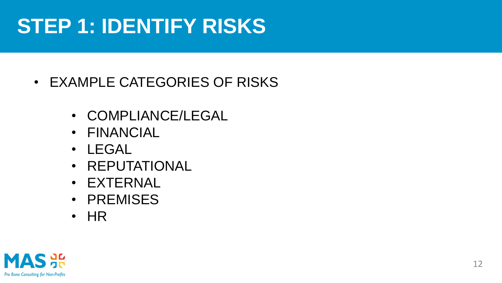### **STEP 1: IDENTIFY RISKS**

### • EXAMPLE CATEGORIES OF RISKS

- COMPLIANCE/LEGAL
- FINANCIAL
- LEGAL
- REPUTATIONAL
- EXTERNAL
- PREMISES
- HR



12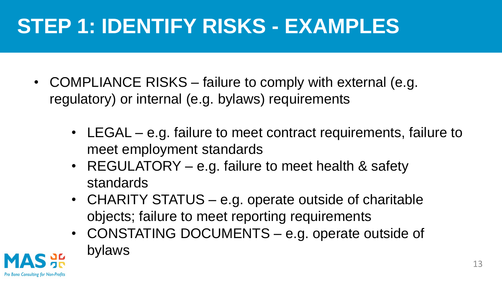- COMPLIANCE RISKS failure to comply with external (e.g. regulatory) or internal (e.g. bylaws) requirements
	- LEGAL e.g. failure to meet contract requirements, failure to meet employment standards
	- REGULATORY e.g. failure to meet health & safety standards
	- CHARITY STATUS e.g. operate outside of charitable objects; failure to meet reporting requirements • CONSTATING DOCUMENTS – e.g. operate outside of
	- bylaws



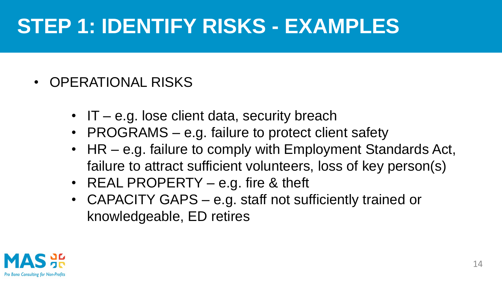- OPERATIONAL RISKS
	- IT e.g. lose client data, security breach
	- PROGRAMS e.g. failure to protect client safety
	- HR e.g. failure to comply with Employment Standards Act, failure to attract sufficient volunteers, loss of key person(s)
	- REAL PROPERTY e.g. fire & theft
	- CAPACITY GAPS e.g. staff not sufficiently trained or knowledgeable, ED retires



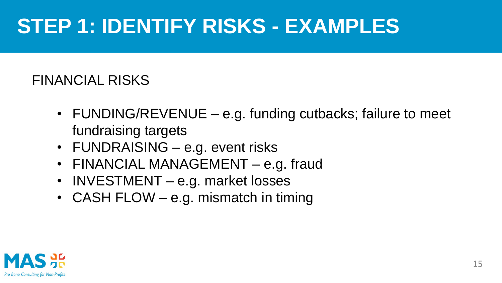### FINANCIAL RISKS

- FUNDING/REVENUE e.g. funding cutbacks; failure to meet fundraising targets
- FUNDRAISING e.g. event risks
- FINANCIAL MANAGEMENT e.g. fraud
- INVESTMENT e.g. market losses
- CASH FLOW e.g. mismatch in timing



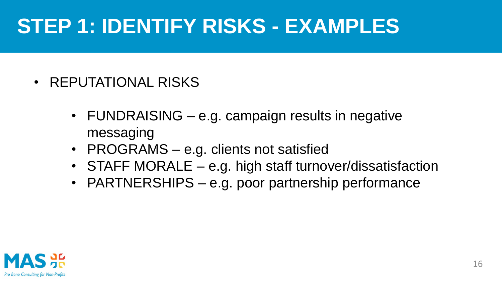- REPUTATIONAL RISKS
	- FUNDRAISING e.g. campaign results in negative messaging
	- PROGRAMS e.g. clients not satisfied
	- STAFF MORALE e.g. high staff turnover/dissatisfaction
	- PARTNERSHIPS e.g. poor partnership performance



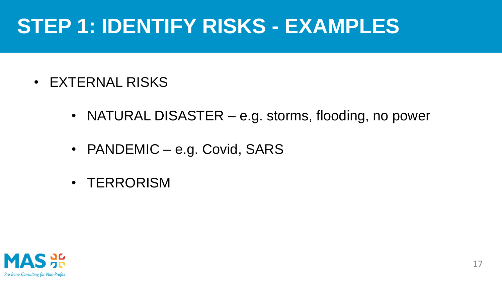- EXTERNAL RISKS
	- NATURAL DISASTER e.g. storms, flooding, no power
	- PANDEMIC e.g. Covid, SARS
	- TERRORISM



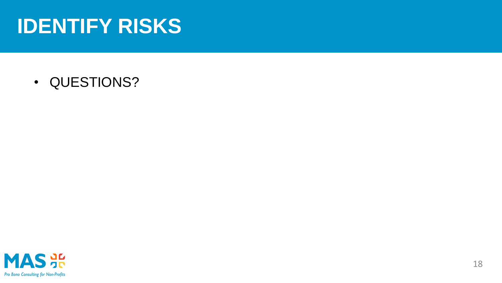### **IDENTIFY RISKS**

• QUESTIONS?



18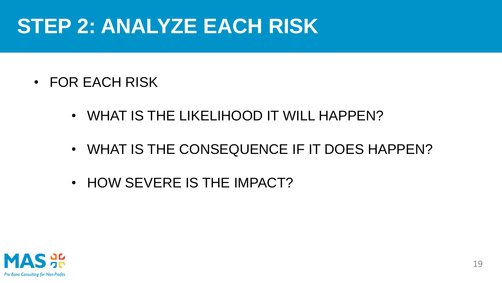- FOR EACH RISK
	- WHAT IS THE LIKELIHOOD IT WILL HAPPEN?
	- WHAT IS THE CONSEQUENCE IF IT DOES HAPPEN?
	- HOW SEVERE IS THE IMPACT?



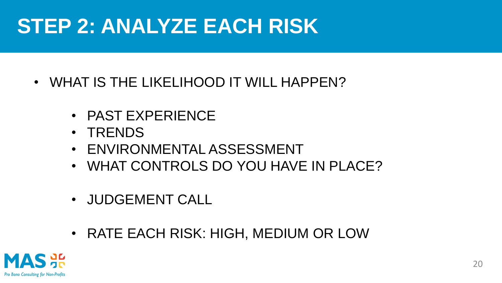- WHAT IS THE LIKELIHOOD IT WILL HAPPEN?
	- PAST EXPERIENCE
	- TRENDS
	- ENVIRONMENTAL ASSESSMENT
	- WHAT CONTROLS DO YOU HAVE IN PLACE?
	- JUDGEMENT CALL
	- RATE EACH RISK: HIGH, MEDIUM OR LOW



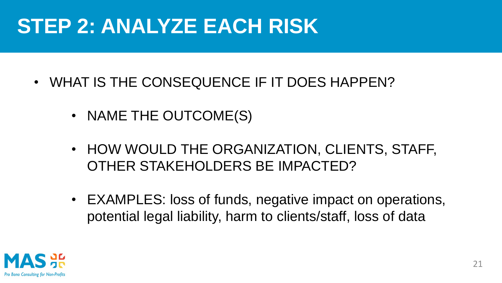- WHAT IS THE CONSEQUENCE IF IT DOES HAPPEN?
	- NAME THE OUTCOME(S)
	- HOW WOULD THE ORGANIZATION, CLIENTS, STAFF, OTHER STAKEHOLDERS BE IMPACTED?
	- EXAMPLES: loss of funds, negative impact on operations, potential legal liability, harm to clients/staff, loss of data



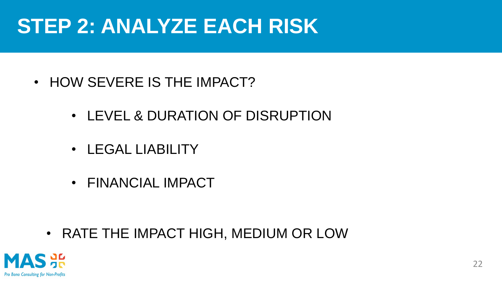- HOW SEVERE IS THE IMPACT?
	- LEVEL & DURATION OF DISRUPTION
	- LEGAL LIABILITY
	- FINANCIAL IMPACT

• RATE THE IMPACT HIGH, MEDIUM OR LOW



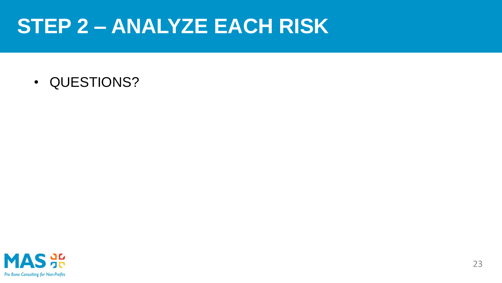• QUESTIONS?





23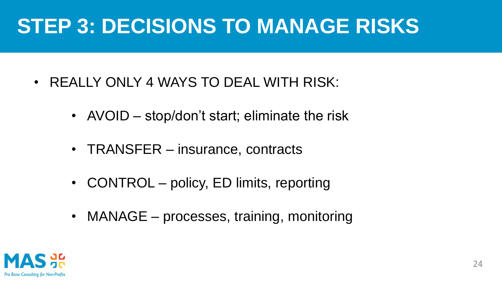### **STEP 3: DECISIONS TO MANAGE RISKS**

- REALLY ONLY 4 WAYS TO DEAL WITH RISK:
	- AVOID stop/don't start; eliminate the risk
	- TRANSFER insurance, contracts
	- CONTROL policy, ED limits, reporting
	- MANAGE processes, training, monitoring



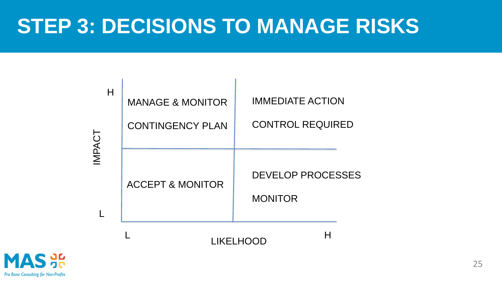### **STEP 3: DECISIONS TO MANAGE RISKS**



| Н | <b>MANAGE &amp; MONITOR</b><br><b>CONTINGENCY PLAN</b> | <b>IMMEDIATE AG</b><br><b>CONTROL RE</b> |
|---|--------------------------------------------------------|------------------------------------------|
|   | <b>ACCEPT &amp; MONITOR</b>                            | <b>DEVELOP PR</b><br><b>MONITOR</b>      |

L





### CTION

**QUIRED** 

**OCESSES** 

H

LIKELHOOD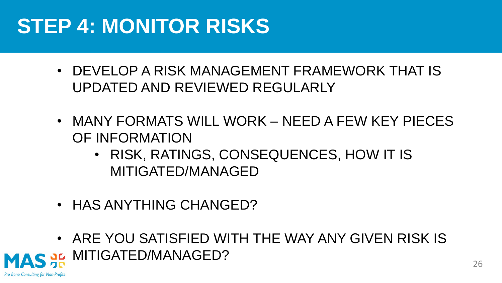## **STEP 4: MONITOR RISKS**

- DEVELOP A RISK MANAGEMENT FRAMEWORK THAT IS UPDATED AND REVIEWED REGULARLY
- MANY FORMATS WILL WORK NEED A FEW KEY PIECES OF INFORMATION
	- RISK, RATINGS, CONSEQUENCES, HOW IT IS MITIGATED/MANAGED
- HAS ANYTHING CHANGED?
- ARE YOU SATISFIED WITH THE WAY ANY GIVEN RISK IS MITIGATED/MANAGED?

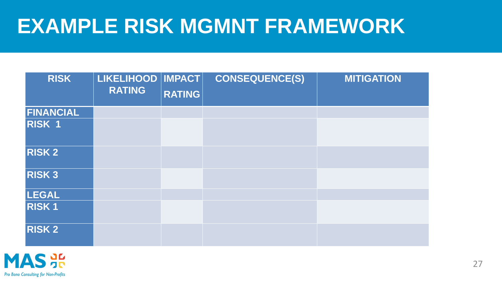### **EXAMPLE RISK MGMNT FRAMEWORK**

| <b>RISK</b>      | LIKELIHOOD   IMPACT  <br><b>RATING</b> | <b>RATING</b> | <b>CONSEQUENCE(S)</b> | <b>MITIGATION</b> |
|------------------|----------------------------------------|---------------|-----------------------|-------------------|
| <b>FINANCIAL</b> |                                        |               |                       |                   |
| RISK 1           |                                        |               |                       |                   |
| <b>RISK 2</b>    |                                        |               |                       |                   |
| <b>RISK3</b>     |                                        |               |                       |                   |
| <b>LEGAL</b>     |                                        |               |                       |                   |
| <b>RISK1</b>     |                                        |               |                       |                   |
| <b>RISK 2</b>    |                                        |               |                       |                   |

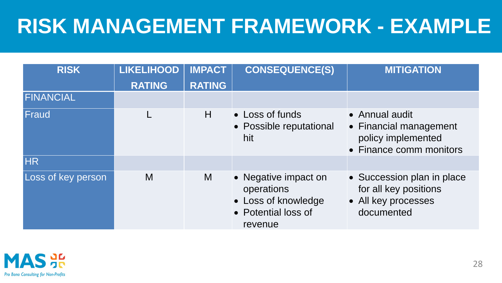## **RISK MANAGEMENT FRAMEWORK - EXAMPLE**

| <b>RISK</b>        | <b>LIKELIHOOD</b><br><b>RATING</b> | <b>IMPACT</b><br><b>RATING</b> | <b>CONSEQUENCE(S)</b>                                                                       | <b>MITIGATION</b>                                                                         |
|--------------------|------------------------------------|--------------------------------|---------------------------------------------------------------------------------------------|-------------------------------------------------------------------------------------------|
| FINANCIAL          |                                    |                                |                                                                                             |                                                                                           |
| Fraud              |                                    | H                              | • Loss of funds<br>• Possible reputational<br>hit                                           | • Annual audit<br>• Financial management<br>policy implemented<br>• Finance comm monitors |
| HR                 |                                    |                                |                                                                                             |                                                                                           |
| Loss of key person | M                                  | M                              | • Negative impact on<br>operations<br>• Loss of knowledge<br>• Potential loss of<br>revenue | • Succession plan in place<br>for all key positions<br>• All key processes<br>documented  |

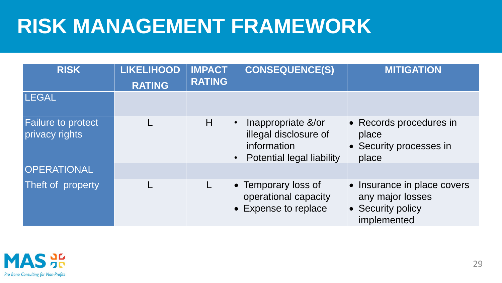## **RISK MANAGEMENT FRAMEWORK**

| <b>RISK</b>                                 | <b>LIKELIHOOD</b><br><b>RATING</b> | <b>IMPACT</b><br><b>RATING</b> | <b>CONSEQUENCE(S)</b>                                                                          | <b>MITIGATION</b>                                                                   |
|---------------------------------------------|------------------------------------|--------------------------------|------------------------------------------------------------------------------------------------|-------------------------------------------------------------------------------------|
| <b>LEGAL</b>                                |                                    |                                |                                                                                                |                                                                                     |
| <b>Failure to protect</b><br>privacy rights |                                    | H                              | Inappropriate &/or<br>illegal disclosure of<br>information<br><b>Potential legal liability</b> | • Records procedures in<br>place<br>• Security processes in<br>place                |
| OPERATIONAL                                 |                                    |                                |                                                                                                |                                                                                     |
| Theft of property                           |                                    |                                | • Temporary loss of<br>operational capacity<br>• Expense to replace                            | • Insurance in place covers<br>any major losses<br>• Security policy<br>implemented |



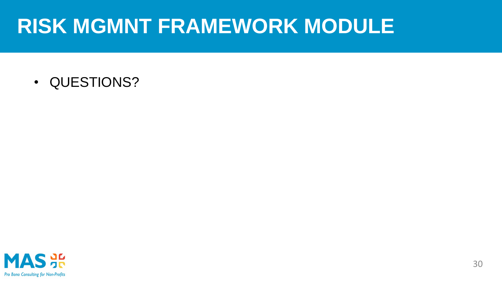### **RISK MGMNT FRAMEWORK MODULE**

• QUESTIONS?



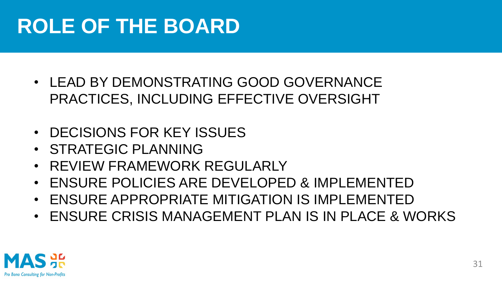## **ROLE OF THE BOARD**

- LEAD BY DEMONSTRATING GOOD GOVERNANCE PRACTICES, INCLUDING EFFECTIVE OVERSIGHT
- DECISIONS FOR KEY ISSUES
- STRATEGIC PLANNING
- REVIEW FRAMEWORK REGULARLY
- ENSURE POLICIES ARE DEVELOPED & IMPLEMENTED
- ENSURE APPROPRIATE MITIGATION IS IMPLEMENTED
- ENSURE CRISIS MANAGEMENT PLAN IS IN PLACE & WORKS

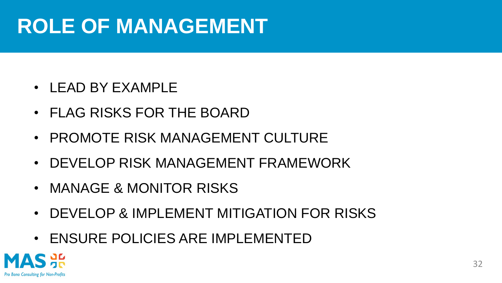## **ROLE OF MANAGEMENT**

- LEAD BY EXAMPLE
- FLAG RISKS FOR THE BOARD
- PROMOTE RISK MANAGEMENT CULTURE
- DEVELOP RISK MANAGEMENT FRAMEWORK
- MANAGE & MONITOR RISKS
- DEVELOP & IMPLEMENT MITIGATION FOR RISKS
- ENSURE POLICIES ARE IMPLEMENTED



32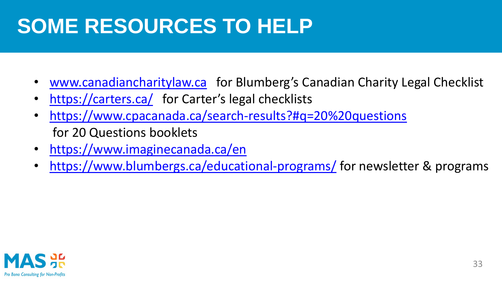## **SOME RESOURCES TO HELP**

- [www.canadiancharitylaw.ca](http://www.canadiancharitylaw.ca/) for Blumberg's Canadian Charity Legal Checklist
- <https://carters.ca/> for Carter's legal checklists
- <https://www.cpacanada.ca/search-results?#q=20%20questions> for 20 Questions booklets
- <https://www.imaginecanada.ca/en>
- <https://www.blumbergs.ca/educational-programs/> for newsletter & programs

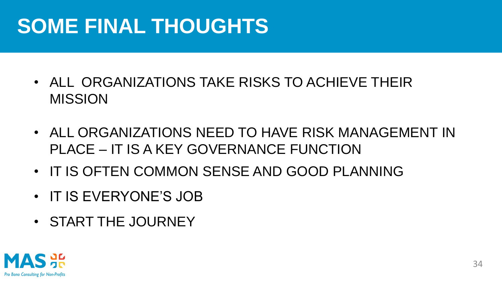## **SOME FINAL THOUGHTS**

- ALL ORGANIZATIONS TAKE RISKS TO ACHIEVE THEIR MISSION
- ALL ORGANIZATIONS NEED TO HAVE RISK MANAGEMENT IN PLACE – IT IS A KEY GOVERNANCE FUNCTION
- IT IS OFTEN COMMON SENSE AND GOOD PLANNING
- IT IS EVERYONE'S JOB
- START THE JOURNEY

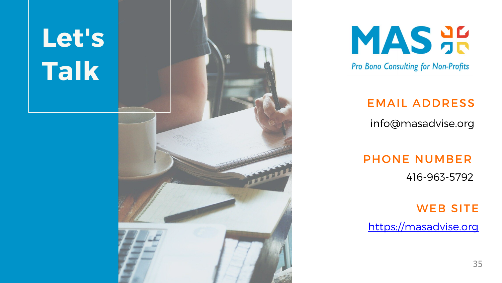# Let's Talk





Pro Bono Consulting for Non-Profits

### EMAIL ADDRESS

### info@masadvise.org

### PHONE NUMBER 416-963-5792

### WEB SITE

[https://masadvise.org](https://masadvise.org/)